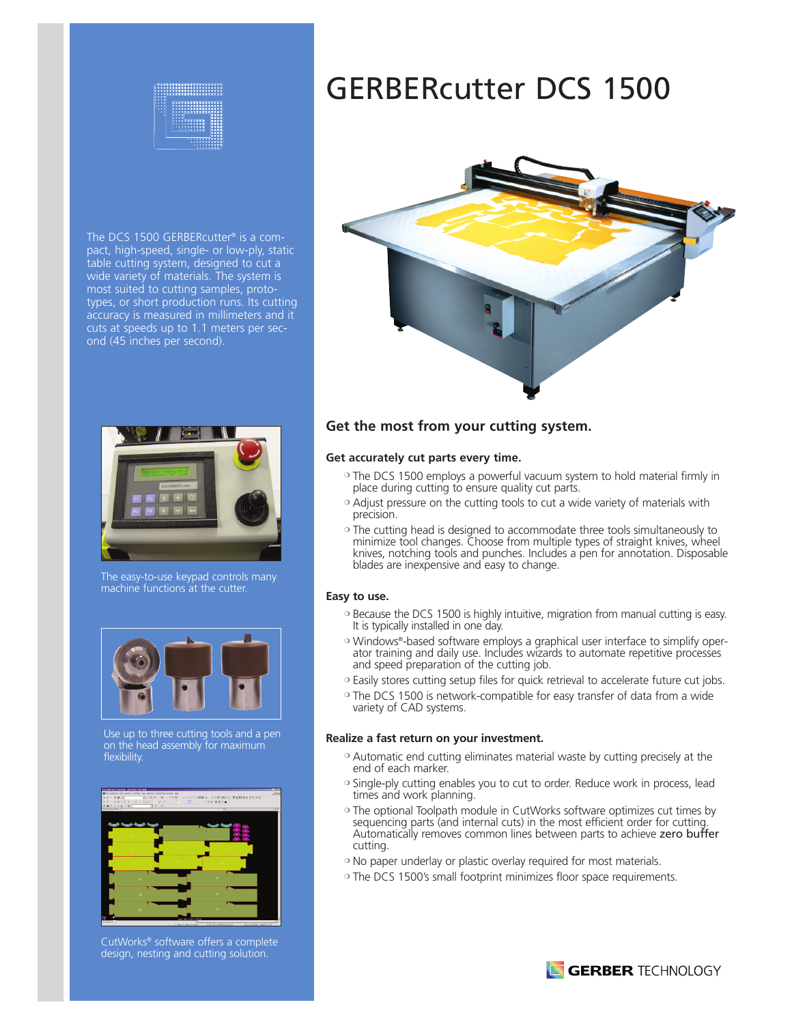

The DCS 1500 GERBERcutter ® is a compact, high-speed, single- or low-ply, static table cutting system, designed to cut a wide variety of materials. The system is most suited to cutting samples, prototypes, or short production runs. Its cutting accuracy is measured in millimeters and it cuts at speeds up to 1.1 meters per second (45 inches per second).



The easy-to-use keypad controls many machine functions at the cutter.



Use up to three cutting tools and a pen on the head assembly for maximum flexibility.



CutWorks® software offers a complete design, nesting and cutting solution.

# GERBERcutter DCS 1500



## **Get the most from your cutting system.**

#### **Get accurately cut parts every time.**

- ❍ The DCS 1500 employs a powerful vacuum system to hold material firmly in place during cutting to ensure quality cut parts.
- ❍ Adjust pressure on the cutting tools to cut a wide variety of materials with precision.
- ❍ The cutting head is designed to accommodate three tools simultaneously to minimize tool changes. Choose from multiple types of straight knives, wheel knives, notching tools and punches. Includes a pen for annotation. Disposable blades are inexpensive and easy to change.

#### **Easy to use.**

- ❍ Because the DCS 1500 is highly intuitive, migration from manual cutting is easy. It is typically installed in one day.
- ❍ Windows®-based software employs a graphical user interface to simplify operator training and daily use. Includes wizards to automate repetitive processes and speed preparation of the cutting job.
- ❍ Easily stores cutting setup files for quick retrieval to accelerate future cut jobs.
- ❍ The DCS 1500 is network-compatible for easy transfer of data from a wide variety of CAD systems.

#### **Realize a fast return on your investment.**

- ❍ Automatic end cutting eliminates material waste by cutting precisely at the end of each marker.
- ❍ Single-ply cutting enables you to cut to order. Reduce work in process, lead times and work planning.
- ❍ The optional Toolpath module in CutWorks software optimizes cut times by sequencing parts (and internal cuts) in the most efficient order for cutting. Automatically removes common lines between parts to achieve zero buffer cutting.
- ❍ No paper underlay or plastic overlay required for most materials.
- ❍ The DCS 1500's small footprint minimizes floor space requirements.